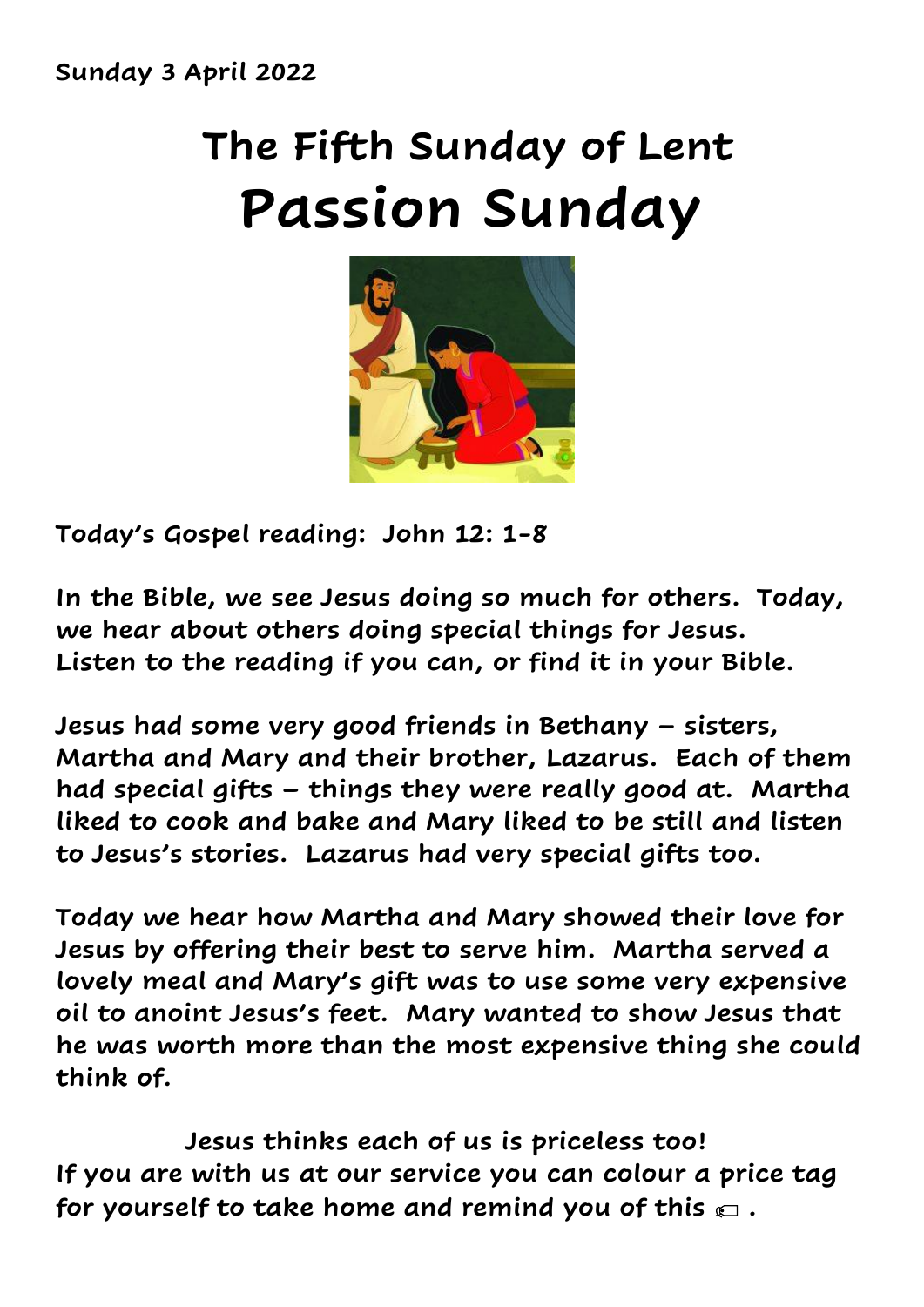## **The Fifth Sunday of Lent Passion Sunday**



**Today's Gospel reading: John 12: 1-8**

**In the Bible, we see Jesus doing so much for others. Today, we hear about others doing special things for Jesus. Listen to the reading if you can, or find it in your Bible.**

**Jesus had some very good friends in Bethany – sisters, Martha and Mary and their brother, Lazarus. Each of them had special gifts – things they were really good at. Martha liked to cook and bake and Mary liked to be still and listen to Jesus's stories. Lazarus had very special gifts too.**

**Today we hear how Martha and Mary showed their love for Jesus by offering their best to serve him. Martha served a lovely meal and Mary's gift was to use some very expensive oil to anoint Jesus's feet. Mary wanted to show Jesus that he was worth more than the most expensive thing she could think of.** 

 **Jesus thinks each of us is priceless too! If you are with us at our service you can colour a price tag for yourself to take home and remind you of this .**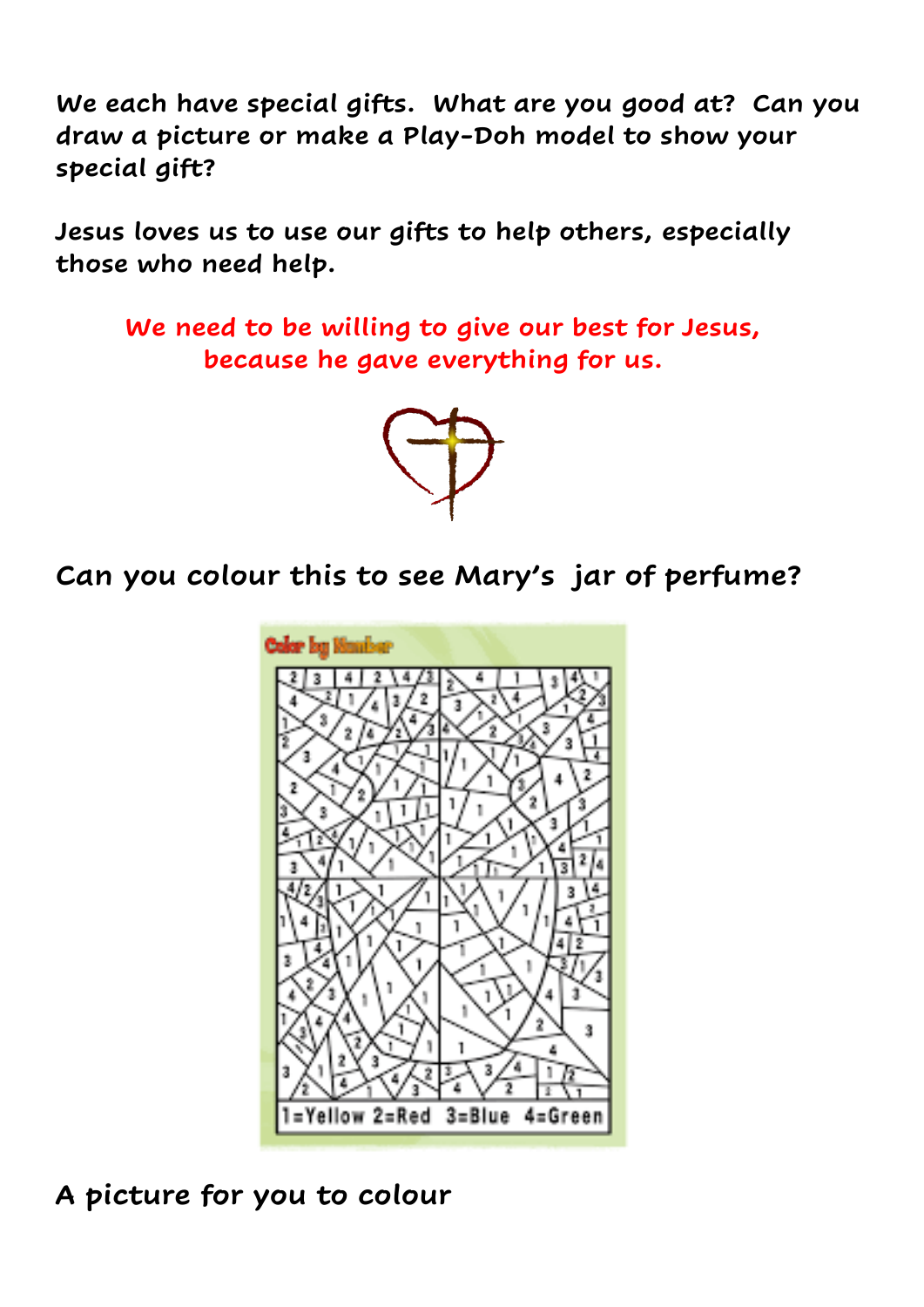**We each have special gifts. What are you good at? Can you draw a picture or make a Play-Doh model to show your special gift?**

**Jesus loves us to use our gifts to help others, especially those who need help.**

 **We need to be willing to give our best for Jesus, because he gave everything for us.** 



**Can you colour this to see Mary's jar of perfume?** 



**A picture for you to colour**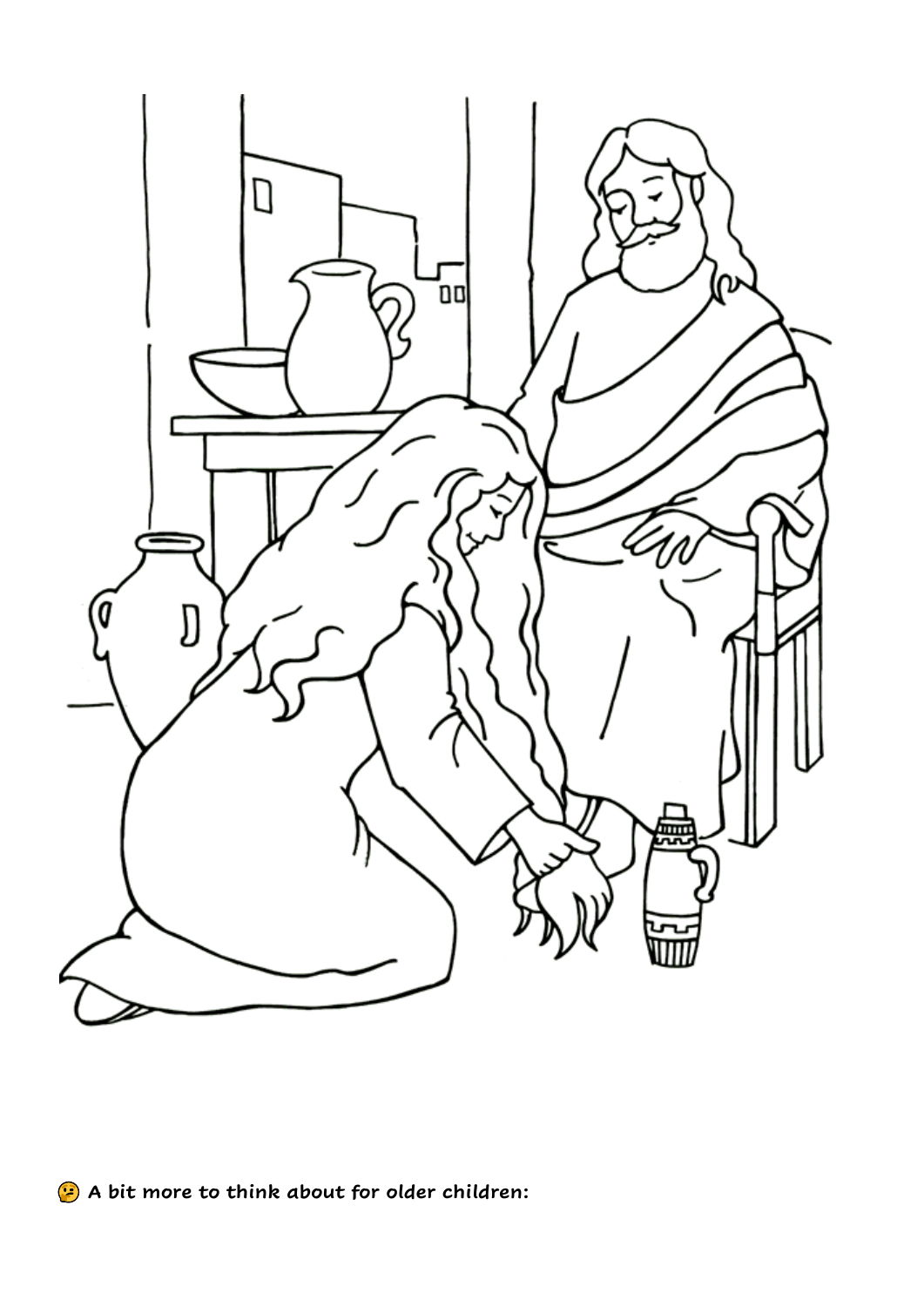

**A bit more to think about for older children:**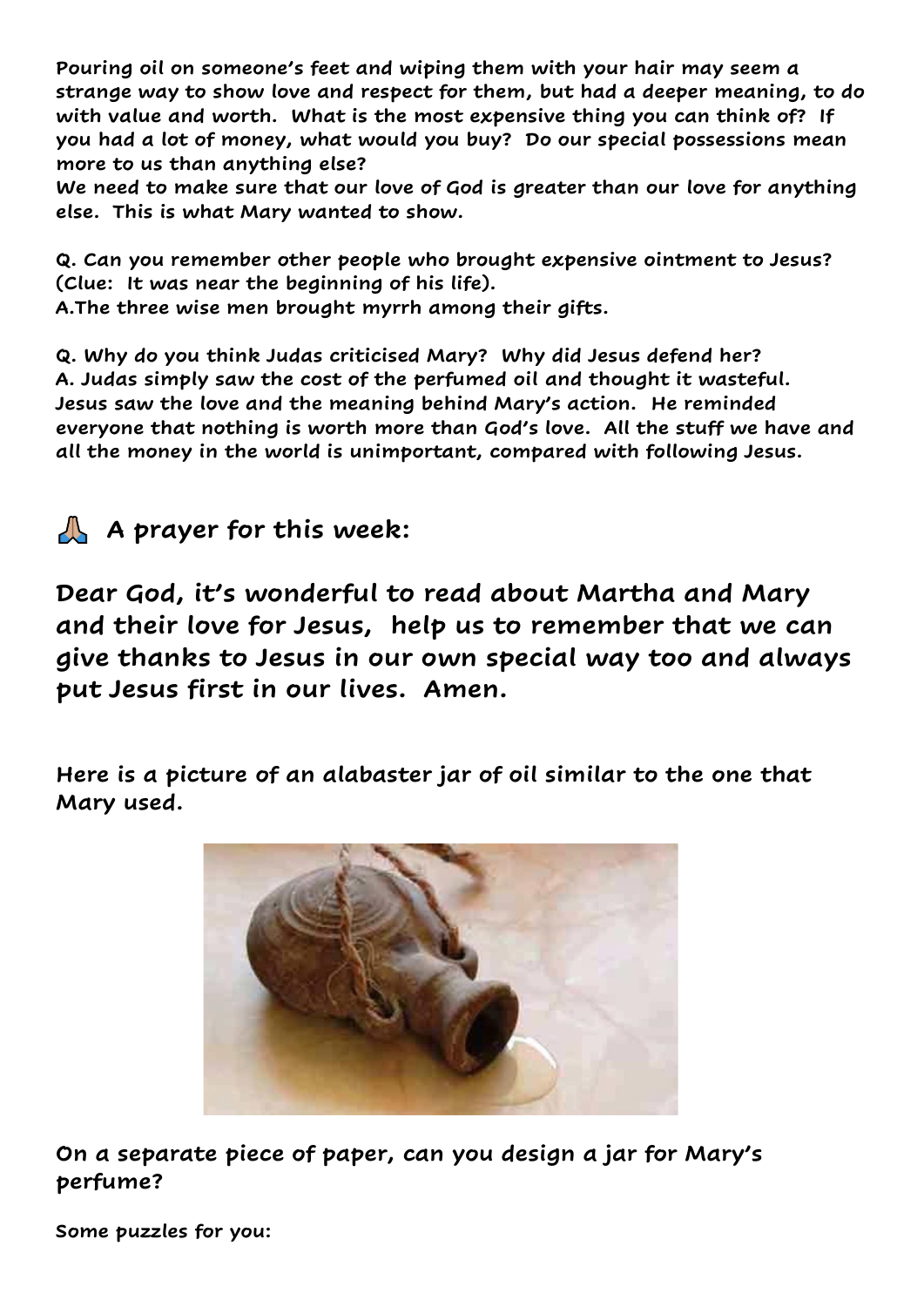**Pouring oil on someone's feet and wiping them with your hair may seem a strange way to show love and respect for them, but had a deeper meaning, to do with value and worth. What is the most expensive thing you can think of? If you had a lot of money, what would you buy? Do our special possessions mean more to us than anything else?**

**We need to make sure that our love of God is greater than our love for anything else. This is what Mary wanted to show.** 

**Q. Can you remember other people who brought expensive ointment to Jesus? (Clue: It was near the beginning of his life).** 

**A.The three wise men brought myrrh among their gifts.** 

**Q. Why do you think Judas criticised Mary? Why did Jesus defend her? A. Judas simply saw the cost of the perfumed oil and thought it wasteful. Jesus saw the love and the meaning behind Mary's action. He reminded everyone that nothing is worth more than God's love. All the stuff we have and all the money in the world is unimportant, compared with following Jesus.** 

**A prayer for this week:** 

**Dear God, it's wonderful to read about Martha and Mary and their love for Jesus, help us to remember that we can give thanks to Jesus in our own special way too and always put Jesus first in our lives. Amen.** 

**Here is a picture of an alabaster jar of oil similar to the one that Mary used.**



**On a separate piece of paper, can you design a jar for Mary's perfume?** 

**Some puzzles for you:**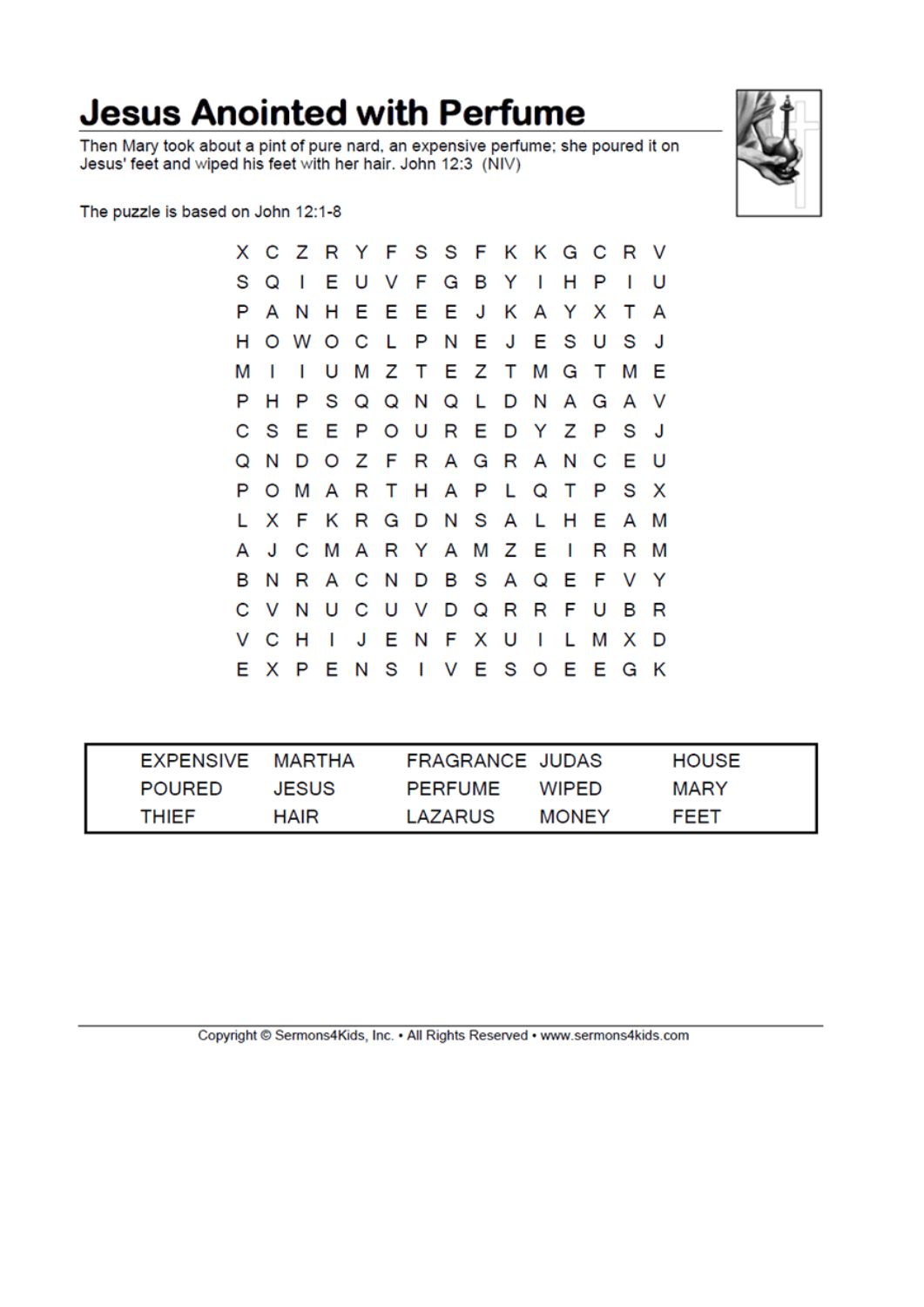### **Jesus Anointed with Perfume**

Then Mary took about a pint of pure nard, an expensive perfume; she poured it on Jesus' feet and wiped his feet with her hair. John 12:3 (NIV)



The puzzle is based on John 12:1-8

|   |         | X C Z R Y F S S F K K G C R V |              |    |  |         |                           |    |         |                |     |
|---|---------|-------------------------------|--------------|----|--|---------|---------------------------|----|---------|----------------|-----|
| s | Q       | $\mathbf{I}$                  |              |    |  |         | EUVFGBYI                  | н  | P       | $\blacksquare$ | U   |
| P | A       | N                             |              |    |  |         | H E E E E J K A Y X       |    |         | T              | A   |
| н |         | O W O C L P N E J E S U       |              |    |  |         |                           |    |         | - S            | J.  |
| М | I       | L                             |              |    |  |         | U M Z T E Z T M G T       |    |         | м              | -E  |
| P | н       |                               |              |    |  |         | P S Q Q N Q L D N A G A V |    |         |                |     |
| С | - S     |                               |              |    |  |         | E E P O U R E D Y Z P S   |    |         |                | - J |
| Q | N       |                               |              |    |  |         | D O Z F R A G R A N C E   |    |         |                | - U |
| P | $\circ$ |                               |              |    |  |         | M A R T H A P L Q T P     |    |         | S X            |     |
|   | x       | F K R G D N S A L H E A       |              |    |  |         |                           |    |         |                | M   |
| A | J       |                               |              |    |  |         | C M A R Y A M Z E I       |    | R       | R              | М   |
| в | Ν       | R                             |              |    |  |         | A C N D B S A Q E         |    | F V Y   |                |     |
| С | $\vee$  | Ν                             |              |    |  |         | UCUVDQRRFU                |    |         | в              | R   |
| V | - C     | H                             | $\mathbf{I}$ | JE |  | N F X U | $\blacksquare$            | L. | М       | x              | D   |
|   | E X     | P                             |              |    |  |         | ENSIVESO                  |    | E E G K |                |     |

| EXPENSIVE MARTHA |              | FRAGRANCE JUDAS |              | <b>HOUSE</b> |
|------------------|--------------|-----------------|--------------|--------------|
| <b>POURED</b>    | <b>JESUS</b> | <b>PERFUME</b>  | <b>WIPFD</b> | MARY         |
| THIEF            | HAIR         | LAZARUS         | <b>MONEY</b> | FEET         |

Copyright © Sermons4Kids, Inc. . All Rights Reserved . www.sermons4kids.com